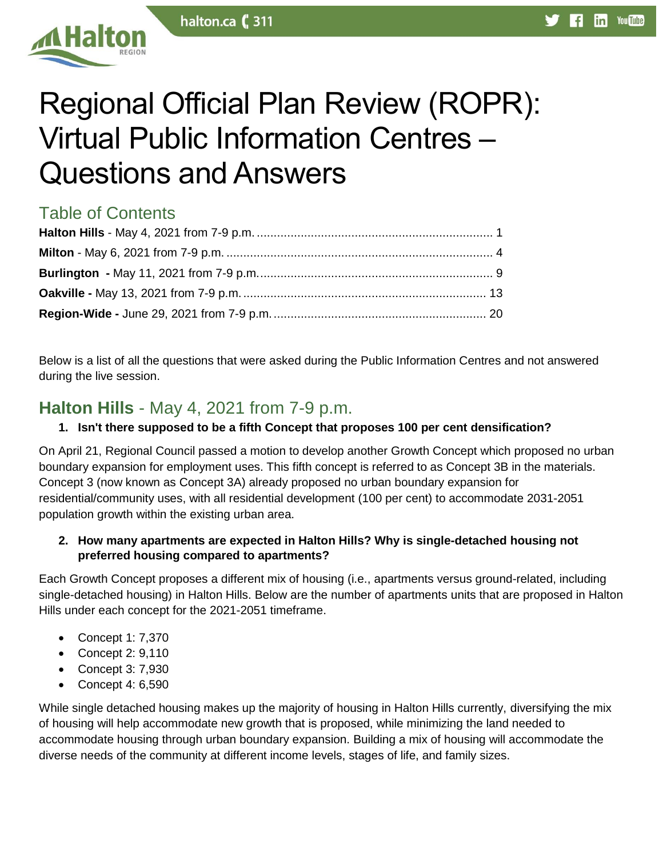

# Regional Official Plan Review (ROPR): Virtual Public Information Centres – Questions and Answers

# Table of Contents

Below is a list of all the questions that were asked during the Public Information Centres and not answered during the live session.

# <span id="page-0-0"></span>**Halton Hills** - May 4, 2021 from 7-9 p.m.

# **1. Isn't there supposed to be a fifth Concept that proposes 100 per cent densification?**

On April 21, Regional Council passed a motion to develop another Growth Concept which proposed no urban boundary expansion for employment uses. This fifth concept is referred to as Concept 3B in the materials. Concept 3 (now known as Concept 3A) already proposed no urban boundary expansion for residential/community uses, with all residential development (100 per cent) to accommodate 2031-2051 population growth within the existing urban area.

## **2. How many apartments are expected in Halton Hills? Why is single-detached housing not preferred housing compared to apartments?**

Each Growth Concept proposes a different mix of housing (i.e., apartments versus ground-related, including single-detached housing) in Halton Hills. Below are the number of apartments units that are proposed in Halton Hills under each concept for the 2021-2051 timeframe.

- Concept 1: 7,370
- Concept 2: 9,110
- Concept 3: 7,930
- Concept 4: 6,590

While single detached housing makes up the majority of housing in Halton Hills currently, diversifying the mix of housing will help accommodate new growth that is proposed, while minimizing the land needed to accommodate housing through urban boundary expansion. Building a mix of housing will accommodate the diverse needs of the community at different income levels, stages of life, and family sizes.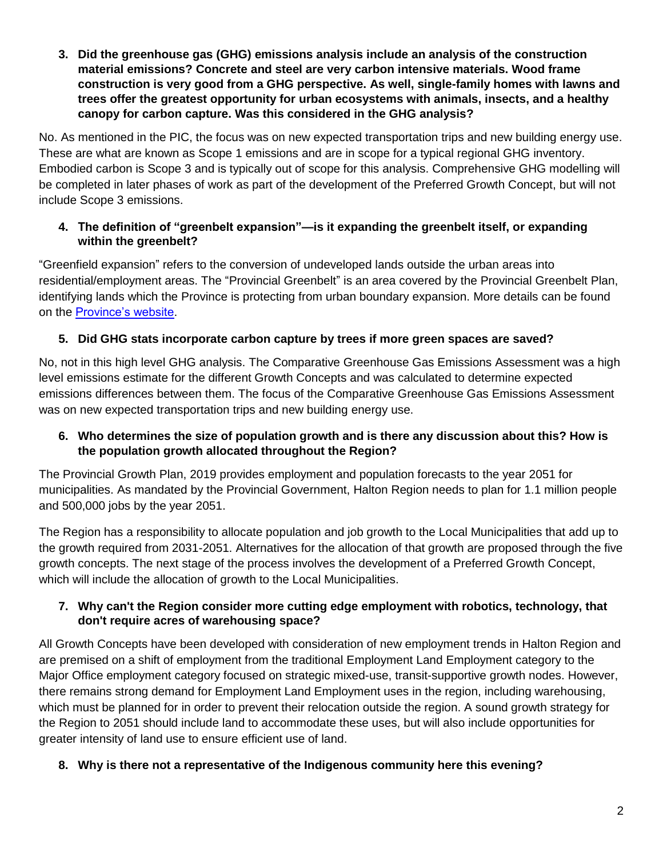**3. Did the greenhouse gas (GHG) emissions analysis include an analysis of the construction material emissions? Concrete and steel are very carbon intensive materials. Wood frame construction is very good from a GHG perspective. As well, single-family homes with lawns and trees offer the greatest opportunity for urban ecosystems with animals, insects, and a healthy canopy for carbon capture. Was this considered in the GHG analysis?**

No. As mentioned in the PIC, the focus was on new expected transportation trips and new building energy use. These are what are known as Scope 1 emissions and are in scope for a typical regional GHG inventory. Embodied carbon is Scope 3 and is typically out of scope for this analysis. Comprehensive GHG modelling will be completed in later phases of work as part of the development of the Preferred Growth Concept, but will not include Scope 3 emissions.

# **4. The definition of "greenbelt expansion"—is it expanding the greenbelt itself, or expanding within the greenbelt?**

"Greenfield expansion" refers to the conversion of undeveloped lands outside the urban areas into residential/employment areas. The "Provincial Greenbelt" is an area covered by the Provincial Greenbelt Plan, identifying lands which the Province is protecting from urban boundary expansion. More details can be found on the [Province's website.](https://ero.ontario.ca/notice/019-3136)

# **5. Did GHG stats incorporate carbon capture by trees if more green spaces are saved?**

No, not in this high level GHG analysis. The Comparative Greenhouse Gas Emissions Assessment was a high level emissions estimate for the different Growth Concepts and was calculated to determine expected emissions differences between them. The focus of the Comparative Greenhouse Gas Emissions Assessment was on new expected transportation trips and new building energy use.

# **6. Who determines the size of population growth and is there any discussion about this? How is the population growth allocated throughout the Region?**

The Provincial Growth Plan, 2019 provides employment and population forecasts to the year 2051 for municipalities. As mandated by the Provincial Government, Halton Region needs to plan for 1.1 million people and 500,000 jobs by the year 2051.

The Region has a responsibility to allocate population and job growth to the Local Municipalities that add up to the growth required from 2031-2051. Alternatives for the allocation of that growth are proposed through the five growth concepts. The next stage of the process involves the development of a Preferred Growth Concept, which will include the allocation of growth to the Local Municipalities.

# **7. Why can't the Region consider more cutting edge employment with robotics, technology, that don't require acres of warehousing space?**

All Growth Concepts have been developed with consideration of new employment trends in Halton Region and are premised on a shift of employment from the traditional Employment Land Employment category to the Major Office employment category focused on strategic mixed-use, transit-supportive growth nodes. However, there remains strong demand for Employment Land Employment uses in the region, including warehousing, which must be planned for in order to prevent their relocation outside the region. A sound growth strategy for the Region to 2051 should include land to accommodate these uses, but will also include opportunities for greater intensity of land use to ensure efficient use of land.

# **8. Why is there not a representative of the Indigenous community here this evening?**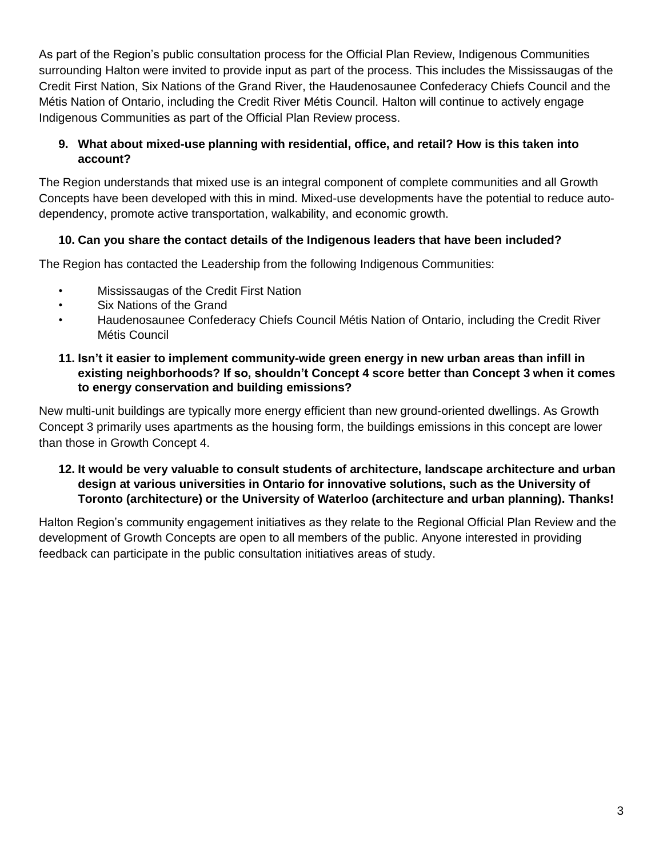As part of the Region's public consultation process for the Official Plan Review, Indigenous Communities surrounding Halton were invited to provide input as part of the process. This includes the Mississaugas of the Credit First Nation, Six Nations of the Grand River, the Haudenosaunee Confederacy Chiefs Council and the Métis Nation of Ontario, including the Credit River Métis Council. Halton will continue to actively engage Indigenous Communities as part of the Official Plan Review process.

# **9. What about mixed-use planning with residential, office, and retail? How is this taken into account?**

The Region understands that mixed use is an integral component of complete communities and all Growth Concepts have been developed with this in mind. Mixed-use developments have the potential to reduce autodependency, promote active transportation, walkability, and economic growth.

# **10. Can you share the contact details of the Indigenous leaders that have been included?**

The Region has contacted the Leadership from the following Indigenous Communities:

- Mississaugas of the Credit First Nation
- Six Nations of the Grand
- Haudenosaunee Confederacy Chiefs Council Métis Nation of Ontario, including the Credit River Métis Council

#### **11. Isn't it easier to implement community-wide green energy in new urban areas than infill in existing neighborhoods? If so, shouldn't Concept 4 score better than Concept 3 when it comes to energy conservation and building emissions?**

New multi-unit buildings are typically more energy efficient than new ground-oriented dwellings. As Growth Concept 3 primarily uses apartments as the housing form, the buildings emissions in this concept are lower than those in Growth Concept 4.

## **12. It would be very valuable to consult students of architecture, landscape architecture and urban design at various universities in Ontario for innovative solutions, such as the University of Toronto (architecture) or the University of Waterloo (architecture and urban planning). Thanks!**

Halton Region's community engagement initiatives as they relate to the Regional Official Plan Review and the development of Growth Concepts are open to all members of the public. Anyone interested in providing feedback can participate in the public consultation initiatives areas of study.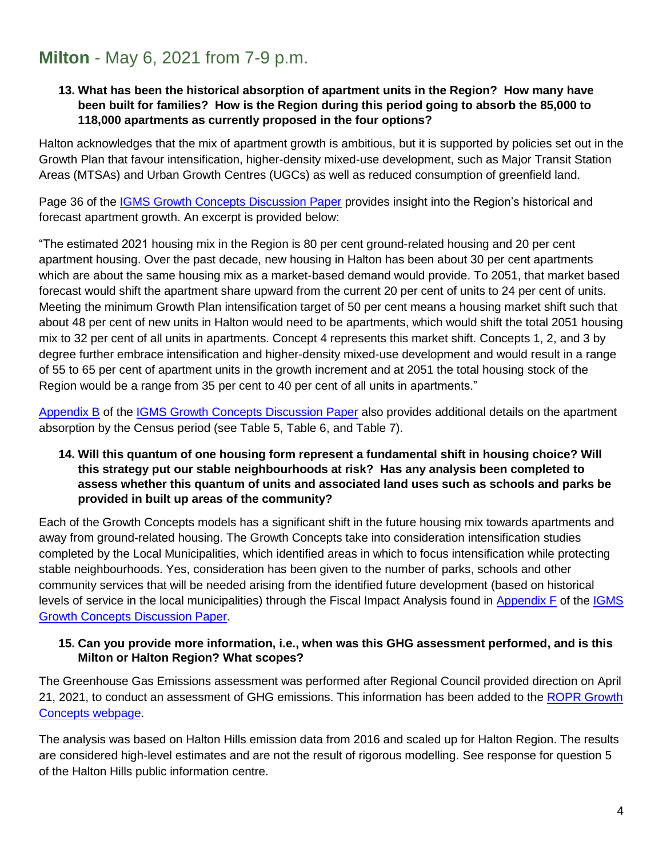# <span id="page-3-0"></span>**Milton** - May 6, 2021 from 7-9 p.m.

#### **13. What has been the historical absorption of apartment units in the Region? How many have been built for families? How is the Region during this period going to absorb the 85,000 to 118,000 apartments as currently proposed in the four options?**

Halton acknowledges that the mix of apartment growth is ambitious, but it is supported by policies set out in the Growth Plan that favour intensification, higher-density mixed-use development, such as Major Transit Station Areas (MTSAs) and Urban Growth Centres (UGCs) as well as reduced consumption of greenfield land.

Page 36 of the [IGMS Growth Concepts Discussion Paper](https://www.halton.ca/getmedia/da6cb968-16c4-45b6-a07b-f95a1427fa9d/Halton_IGMS_Growth_Concepts_Discussion_Paper-reduced.aspx) provides insight into the Region's historical and forecast apartment growth. An excerpt is provided below:

"The estimated 2021 housing mix in the Region is 80 per cent ground-related housing and 20 per cent apartment housing. Over the past decade, new housing in Halton has been about 30 per cent apartments which are about the same housing mix as a market-based demand would provide. To 2051, that market based forecast would shift the apartment share upward from the current 20 per cent of units to 24 per cent of units. Meeting the minimum Growth Plan intensification target of 50 per cent means a housing market shift such that about 48 per cent of new units in Halton would need to be apartments, which would shift the total 2051 housing mix to 32 per cent of all units in apartments. Concept 4 represents this market shift. Concepts 1, 2, and 3 by degree further embrace intensification and higher-density mixed-use development and would result in a range of 55 to 65 per cent of apartment units in the growth increment and at 2051 the total housing stock of the Region would be a range from 35 per cent to 40 per cent of all units in apartments."

[Appendix B](https://www.halton.ca/getmedia/f0114ac4-42d6-4e41-8f6f-d97c89db821f/Development_of_Growth_Concepts_reduced.aspx) of the IGMS [Growth Concepts Discussion Paper](https://www.halton.ca/getmedia/da6cb968-16c4-45b6-a07b-f95a1427fa9d/Halton_IGMS_Growth_Concepts_Discussion_Paper-reduced.aspx) also provides additional details on the apartment absorption by the Census period (see Table 5, Table 6, and Table 7).

#### **14. Will this quantum of one housing form represent a fundamental shift in housing choice? Will this strategy put our stable neighbourhoods at risk? Has any analysis been completed to assess whether this quantum of units and associated land uses such as schools and parks be provided in built up areas of the community?**

Each of the Growth Concepts models has a significant shift in the future housing mix towards apartments and away from ground-related housing. The Growth Concepts take into consideration intensification studies completed by the Local Municipalities, which identified areas in which to focus intensification while protecting stable neighbourhoods. Yes, consideration has been given to the number of parks, schools and other community services that will be needed arising from the identified future development (based on historical levels of service in the local municipalities) through the Fiscal Impact Analysis found in [Appendix F](https://www.halton.ca/getmedia/eb98ffef-b24d-4f75-b78a-d022ebaa98a0/Growth_Concepts_Technical_Assessment.aspx) of the IGMS [Growth Concepts Discussion Paper.](https://www.halton.ca/getmedia/da6cb968-16c4-45b6-a07b-f95a1427fa9d/Halton_IGMS_Growth_Concepts_Discussion_Paper-reduced.aspx)

#### **15. Can you provide more information, i.e., when was this GHG assessment performed, and is this Milton or Halton Region? What scopes?**

The Greenhouse Gas Emissions assessment was performed after Regional Council provided direction on April 21, 2021, to conduct an assessment of GHG emissions. This information has been added to the [ROPR Growth](https://www.halton.ca/The-Region/Regional-Planning/Regional-Official-Plan-(ROP)-(1)/Halton-s-Regional-Official-Plan-Review-(ROPR)/Regional-Official-Plan-Review-Growth-Concepts)  [Concepts webpage.](https://www.halton.ca/The-Region/Regional-Planning/Regional-Official-Plan-(ROP)-(1)/Halton-s-Regional-Official-Plan-Review-(ROPR)/Regional-Official-Plan-Review-Growth-Concepts)

The analysis was based on Halton Hills emission data from 2016 and scaled up for Halton Region. The results are considered high-level estimates and are not the result of rigorous modelling. See response for question 5 of the Halton Hills public information centre.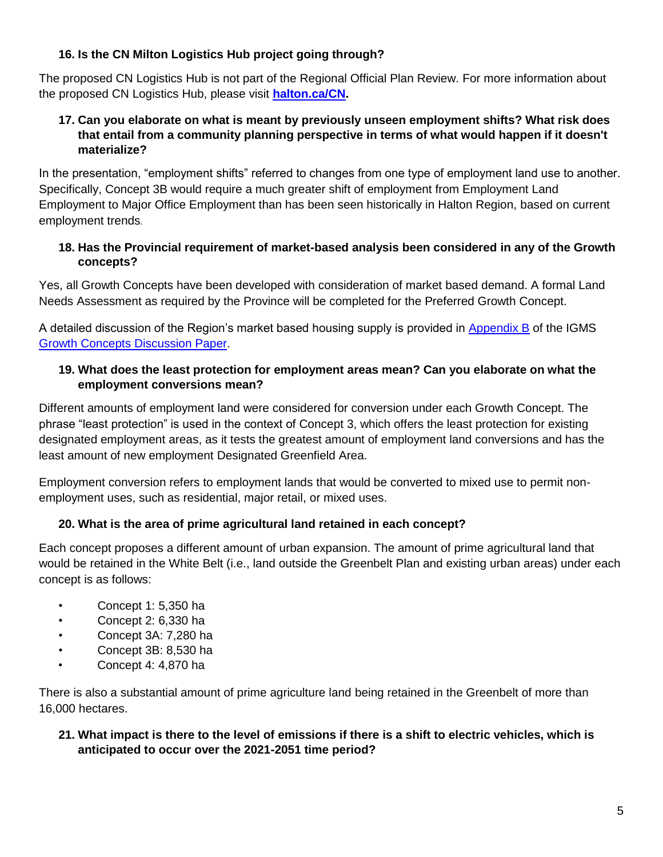# **16. Is the CN Milton Logistics Hub project going through?**

The proposed CN Logistics Hub is not part of the Regional Official Plan Review. For more information about the proposed CN Logistics Hub, please visit **[halton.ca/CN.](https://www.halton.ca/cn)**

# **17. Can you elaborate on what is meant by previously unseen employment shifts? What risk does that entail from a community planning perspective in terms of what would happen if it doesn't materialize?**

In the presentation, "employment shifts" referred to changes from one type of employment land use to another. Specifically, Concept 3B would require a much greater shift of employment from Employment Land Employment to Major Office Employment than has been seen historically in Halton Region, based on current employment trends.

# **18. Has the Provincial requirement of market-based analysis been considered in any of the Growth concepts?**

Yes, all Growth Concepts have been developed with consideration of market based demand. A formal Land Needs Assessment as required by the Province will be completed for the Preferred Growth Concept.

A detailed discussion of the Region's market based housing supply is provided in [Appendix B](https://www.halton.ca/getmedia/da6cb968-16c4-45b6-a07b-f95a1427fa9d/Halton_IGMS_Growth_Concepts_Discussion_Paper-reduced.aspx) of the IGMS [Growth Concepts Discussion Paper.](https://www.halton.ca/getmedia/da6cb968-16c4-45b6-a07b-f95a1427fa9d/Halton_IGMS_Growth_Concepts_Discussion_Paper-reduced.aspx)

# **19. What does the least protection for employment areas mean? Can you elaborate on what the employment conversions mean?**

Different amounts of employment land were considered for conversion under each Growth Concept. The phrase "least protection" is used in the context of Concept 3, which offers the least protection for existing designated employment areas, as it tests the greatest amount of employment land conversions and has the least amount of new employment Designated Greenfield Area.

Employment conversion refers to employment lands that would be converted to mixed use to permit nonemployment uses, such as residential, major retail, or mixed uses.

# **20. What is the area of prime agricultural land retained in each concept?**

Each concept proposes a different amount of urban expansion. The amount of prime agricultural land that would be retained in the White Belt (i.e., land outside the Greenbelt Plan and existing urban areas) under each concept is as follows:

- Concept 1: 5,350 ha
- Concept 2: 6,330 ha
- Concept 3A: 7,280 ha
- Concept 3B: 8,530 ha
- Concept 4: 4,870 ha

There is also a substantial amount of prime agriculture land being retained in the Greenbelt of more than 16,000 hectares.

# **21. What impact is there to the level of emissions if there is a shift to electric vehicles, which is anticipated to occur over the 2021-2051 time period?**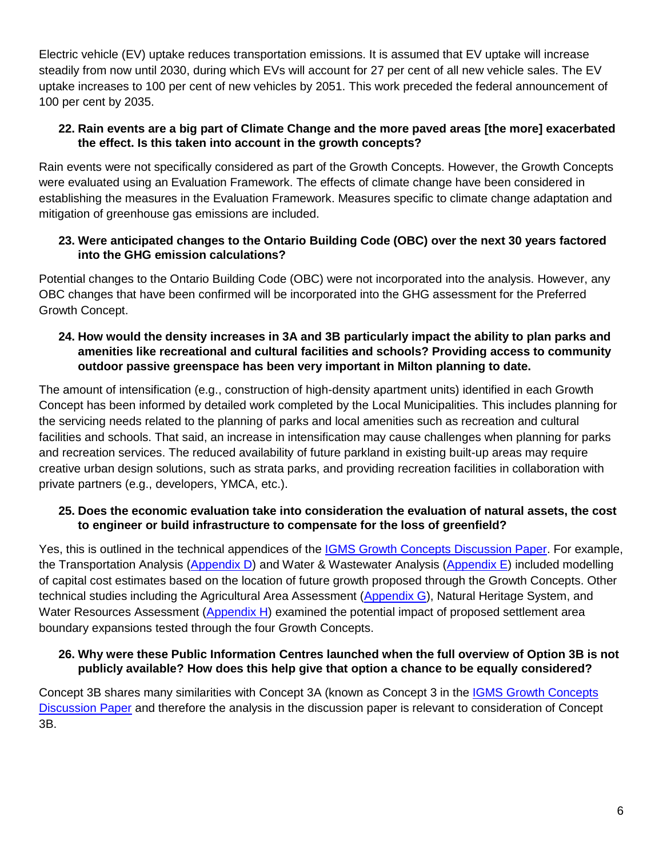Electric vehicle (EV) uptake reduces transportation emissions. It is assumed that EV uptake will increase steadily from now until 2030, during which EVs will account for 27 per cent of all new vehicle sales. The EV uptake increases to 100 per cent of new vehicles by 2051. This work preceded the federal announcement of 100 per cent by 2035.

## **22. Rain events are a big part of Climate Change and the more paved areas [the more] exacerbated the effect. Is this taken into account in the growth concepts?**

Rain events were not specifically considered as part of the Growth Concepts. However, the Growth Concepts were evaluated using an Evaluation Framework. The effects of climate change have been considered in establishing the measures in the Evaluation Framework. Measures specific to climate change adaptation and mitigation of greenhouse gas emissions are included.

# **23. Were anticipated changes to the Ontario Building Code (OBC) over the next 30 years factored into the GHG emission calculations?**

Potential changes to the Ontario Building Code (OBC) were not incorporated into the analysis. However, any OBC changes that have been confirmed will be incorporated into the GHG assessment for the Preferred Growth Concept.

## **24. How would the density increases in 3A and 3B particularly impact the ability to plan parks and amenities like recreational and cultural facilities and schools? Providing access to community outdoor passive greenspace has been very important in Milton planning to date.**

The amount of intensification (e.g., construction of high-density apartment units) identified in each Growth Concept has been informed by detailed work completed by the Local Municipalities. This includes planning for the servicing needs related to the planning of parks and local amenities such as recreation and cultural facilities and schools. That said, an increase in intensification may cause challenges when planning for parks and recreation services. The reduced availability of future parkland in existing built-up areas may require creative urban design solutions, such as strata parks, and providing recreation facilities in collaboration with private partners (e.g., developers, YMCA, etc.).

# **25. Does the economic evaluation take into consideration the evaluation of natural assets, the cost to engineer or build infrastructure to compensate for the loss of greenfield?**

Yes, this is outlined in the technical appendices of the [IGMS Growth Concepts Discussion Paper.](https://www.halton.ca/getmedia/da6cb968-16c4-45b6-a07b-f95a1427fa9d/Halton_IGMS_Growth_Concepts_Discussion_Paper-reduced.aspx) For example, the Transportation Analysis [\(Appendix D\)](https://www.halton.ca/getmedia/eb98ffef-b24d-4f75-b78a-d022ebaa98a0/Growth_Concepts_Technical_Assessment.aspx) and Water & Wastewater Analysis [\(Appendix E\)](https://www.halton.ca/getmedia/eb98ffef-b24d-4f75-b78a-d022ebaa98a0/Growth_Concepts_Technical_Assessment.aspx) included modelling of capital cost estimates based on the location of future growth proposed through the Growth Concepts. Other technical studies including the Agricultural Area Assessment [\(Appendix G\)](https://www.halton.ca/getmedia/2d5a124c-8a97-441b-9d26-0015a515c14d/Settlement_Area_Boundary_Expansion_Studies_reduced.aspx), Natural Heritage System, and Water Resources Assessment [\(Appendix H\)](https://www.halton.ca/getmedia/2d5a124c-8a97-441b-9d26-0015a515c14d/Settlement_Area_Boundary_Expansion_Studies_reduced.aspx) examined the potential impact of proposed settlement area boundary expansions tested through the four Growth Concepts.

# **26. Why were these Public Information Centres launched when the full overview of Option 3B is not publicly available? How does this help give that option a chance to be equally considered?**

Concept 3B shares many similarities with Concept 3A (known as Concept 3 in the [IGMS Growth Concepts](https://www.halton.ca/getmedia/da6cb968-16c4-45b6-a07b-f95a1427fa9d/Halton_IGMS_Growth_Concepts_Discussion_Paper-reduced.aspx)  [Discussion Paper](https://www.halton.ca/getmedia/da6cb968-16c4-45b6-a07b-f95a1427fa9d/Halton_IGMS_Growth_Concepts_Discussion_Paper-reduced.aspx) and therefore the analysis in the discussion paper is relevant to consideration of Concept 3B.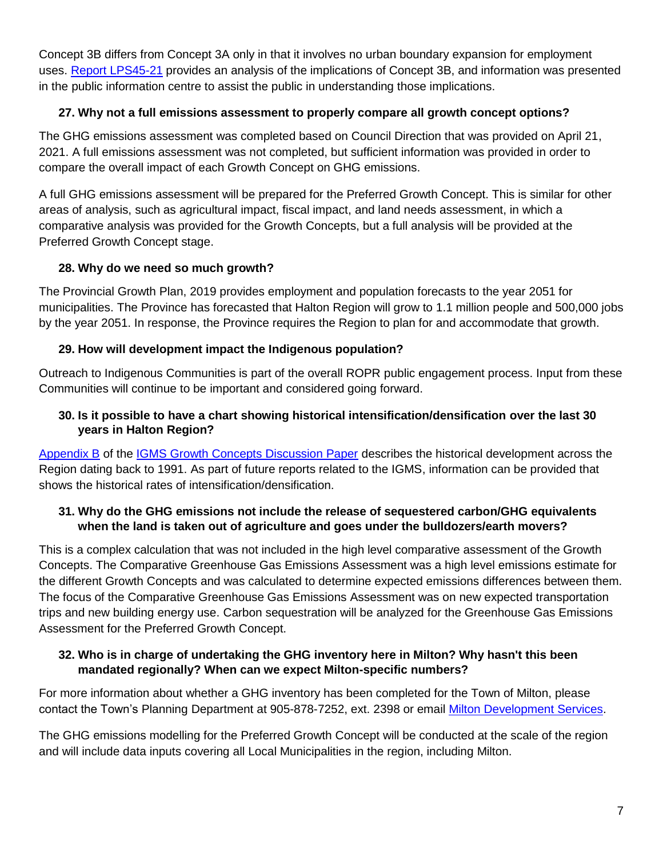Concept 3B differs from Concept 3A only in that it involves no urban boundary expansion for employment uses. [Report LPS45-21](https://edmweb.halton.ca/OnBaseAgendaOnline/Documents/ViewDocument/LPS45-21%20-%20Additional%20Info%20Growth%20Concepts%2C%20Integrated%20Growth%20Management%20Strateg.pdf?meetingId=4204&documentType=Agenda&itemId=119183&publishId=68918&isSection=false) provides an analysis of the implications of Concept 3B, and information was presented in the public information centre to assist the public in understanding those implications.

# **27. Why not a full emissions assessment to properly compare all growth concept options?**

The GHG emissions assessment was completed based on Council Direction that was provided on April 21, 2021. A full emissions assessment was not completed, but sufficient information was provided in order to compare the overall impact of each Growth Concept on GHG emissions.

A full GHG emissions assessment will be prepared for the Preferred Growth Concept. This is similar for other areas of analysis, such as agricultural impact, fiscal impact, and land needs assessment, in which a comparative analysis was provided for the Growth Concepts, but a full analysis will be provided at the Preferred Growth Concept stage.

# **28. Why do we need so much growth?**

The Provincial Growth Plan, 2019 provides employment and population forecasts to the year 2051 for municipalities. The Province has forecasted that Halton Region will grow to 1.1 million people and 500,000 jobs by the year 2051. In response, the Province requires the Region to plan for and accommodate that growth.

# **29. How will development impact the Indigenous population?**

Outreach to Indigenous Communities is part of the overall ROPR public engagement process. Input from these Communities will continue to be important and considered going forward.

# **30. Is it possible to have a chart showing historical intensification/densification over the last 30 years in Halton Region?**

[Appendix B](https://www.halton.ca/getmedia/f0114ac4-42d6-4e41-8f6f-d97c89db821f/Development_of_Growth_Concepts_reduced.aspx) of the [IGMS Growth Concepts Discussion Paper](https://www.halton.ca/getmedia/da6cb968-16c4-45b6-a07b-f95a1427fa9d/Halton_IGMS_Growth_Concepts_Discussion_Paper-reduced.aspx) describes the historical development across the Region dating back to 1991. As part of future reports related to the IGMS, information can be provided that shows the historical rates of intensification/densification.

## **31. Why do the GHG emissions not include the release of sequestered carbon/GHG equivalents when the land is taken out of agriculture and goes under the bulldozers/earth movers?**

This is a complex calculation that was not included in the high level comparative assessment of the Growth Concepts. The Comparative Greenhouse Gas Emissions Assessment was a high level emissions estimate for the different Growth Concepts and was calculated to determine expected emissions differences between them. The focus of the Comparative Greenhouse Gas Emissions Assessment was on new expected transportation trips and new building energy use. Carbon sequestration will be analyzed for the Greenhouse Gas Emissions Assessment for the Preferred Growth Concept.

## **32. Who is in charge of undertaking the GHG inventory here in Milton? Why hasn't this been mandated regionally? When can we expect Milton-specific numbers?**

For more information about whether a GHG inventory has been completed for the Town of Milton, please contact the Town's Planning Department at 905-878-7252, ext. 2398 or email [Milton Development Services.](https://forms.milton.ca/ContactUs/Planning-and-Development)

The GHG emissions modelling for the Preferred Growth Concept will be conducted at the scale of the region and will include data inputs covering all Local Municipalities in the region, including Milton.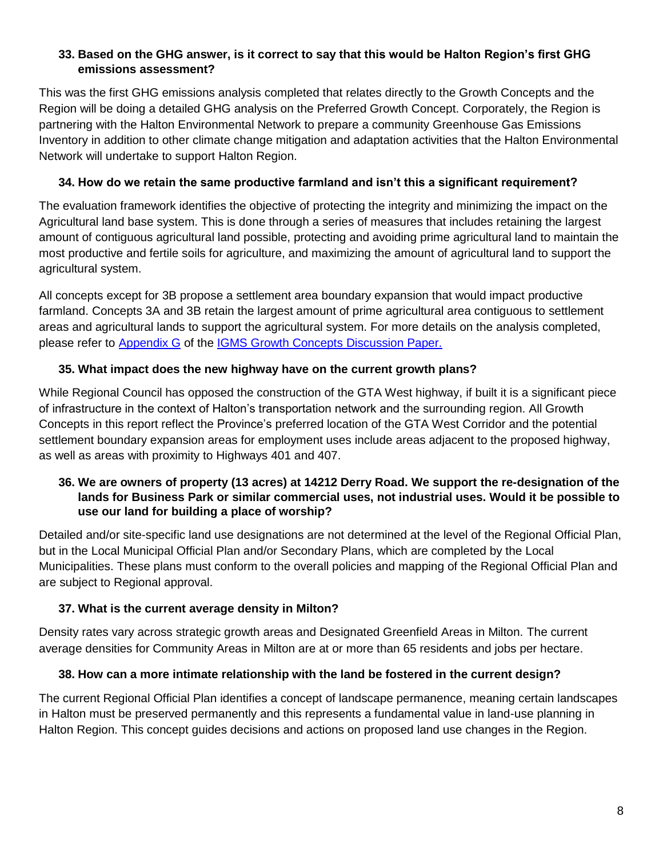# **33. Based on the GHG answer, is it correct to say that this would be Halton Region's first GHG emissions assessment?**

This was the first GHG emissions analysis completed that relates directly to the Growth Concepts and the Region will be doing a detailed GHG analysis on the Preferred Growth Concept. Corporately, the Region is partnering with the Halton Environmental Network to prepare a community Greenhouse Gas Emissions Inventory in addition to other climate change mitigation and adaptation activities that the Halton Environmental Network will undertake to support Halton Region.

# **34. How do we retain the same productive farmland and isn't this a significant requirement?**

The evaluation framework identifies the objective of protecting the integrity and minimizing the impact on the Agricultural land base system. This is done through a series of measures that includes retaining the largest amount of contiguous agricultural land possible, protecting and avoiding prime agricultural land to maintain the most productive and fertile soils for agriculture, and maximizing the amount of agricultural land to support the agricultural system.

All concepts except for 3B propose a settlement area boundary expansion that would impact productive farmland. Concepts 3A and 3B retain the largest amount of prime agricultural area contiguous to settlement areas and agricultural lands to support the agricultural system. For more details on the analysis completed, please refer to [Appendix G](https://www.halton.ca/getmedia/2d5a124c-8a97-441b-9d26-0015a515c14d/Settlement_Area_Boundary_Expansion_Studies_reduced.aspx) of the [IGMS Growth Concepts Discussion Paper.](https://www.halton.ca/getmedia/da6cb968-16c4-45b6-a07b-f95a1427fa9d/Halton_IGMS_Growth_Concepts_Discussion_Paper-reduced.aspx)

# **35. What impact does the new highway have on the current growth plans?**

While Regional Council has opposed the construction of the GTA West highway, if built it is a significant piece of infrastructure in the context of Halton's transportation network and the surrounding region. All Growth Concepts in this report reflect the Province's preferred location of the GTA West Corridor and the potential settlement boundary expansion areas for employment uses include areas adjacent to the proposed highway, as well as areas with proximity to Highways 401 and 407.

#### **36. We are owners of property (13 acres) at 14212 Derry Road. We support the re-designation of the lands for Business Park or similar commercial uses, not industrial uses. Would it be possible to use our land for building a place of worship?**

Detailed and/or site-specific land use designations are not determined at the level of the Regional Official Plan, but in the Local Municipal Official Plan and/or Secondary Plans, which are completed by the Local Municipalities. These plans must conform to the overall policies and mapping of the Regional Official Plan and are subject to Regional approval.

# **37. What is the current average density in Milton?**

Density rates vary across strategic growth areas and Designated Greenfield Areas in Milton. The current average densities for Community Areas in Milton are at or more than 65 residents and jobs per hectare.

# **38. How can a more intimate relationship with the land be fostered in the current design?**

The current Regional Official Plan identifies a concept of landscape permanence, meaning certain landscapes in Halton must be preserved permanently and this represents a fundamental value in land-use planning in Halton Region. This concept guides decisions and actions on proposed land use changes in the Region.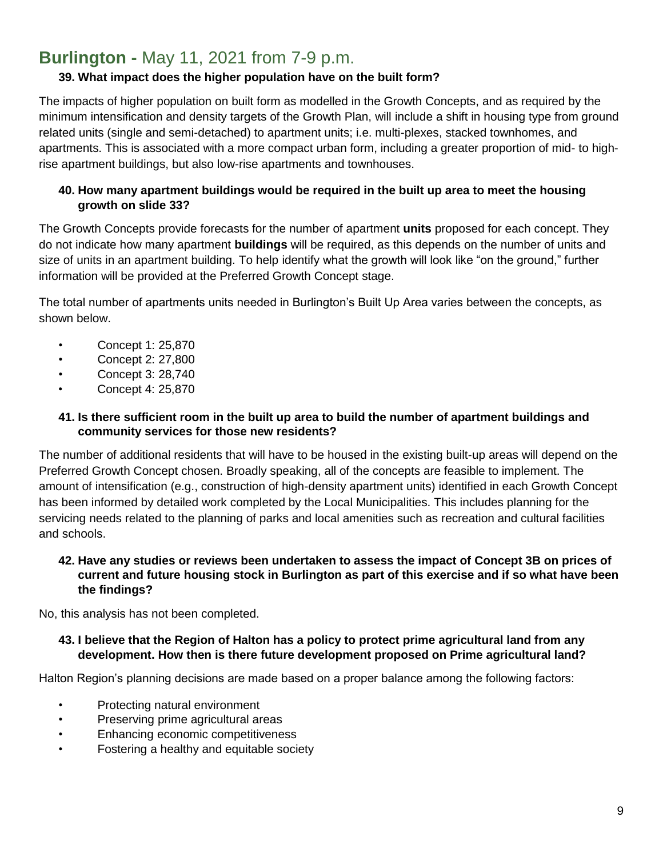# <span id="page-8-0"></span>**Burlington -** May 11, 2021 from 7-9 p.m.

# **39. What impact does the higher population have on the built form?**

The impacts of higher population on built form as modelled in the Growth Concepts, and as required by the minimum intensification and density targets of the Growth Plan, will include a shift in housing type from ground related units (single and semi-detached) to apartment units; i.e. multi-plexes, stacked townhomes, and apartments. This is associated with a more compact urban form, including a greater proportion of mid- to highrise apartment buildings, but also low-rise apartments and townhouses.

## **40. How many apartment buildings would be required in the built up area to meet the housing growth on slide 33?**

The Growth Concepts provide forecasts for the number of apartment **units** proposed for each concept. They do not indicate how many apartment **buildings** will be required, as this depends on the number of units and size of units in an apartment building. To help identify what the growth will look like "on the ground," further information will be provided at the Preferred Growth Concept stage.

The total number of apartments units needed in Burlington's Built Up Area varies between the concepts, as shown below.

- Concept 1: 25,870
- Concept 2: 27,800
- Concept 3: 28,740
- Concept 4: 25,870

#### **41. Is there sufficient room in the built up area to build the number of apartment buildings and community services for those new residents?**

The number of additional residents that will have to be housed in the existing built-up areas will depend on the Preferred Growth Concept chosen. Broadly speaking, all of the concepts are feasible to implement. The amount of intensification (e.g., construction of high-density apartment units) identified in each Growth Concept has been informed by detailed work completed by the Local Municipalities. This includes planning for the servicing needs related to the planning of parks and local amenities such as recreation and cultural facilities and schools.

#### **42. Have any studies or reviews been undertaken to assess the impact of Concept 3B on prices of current and future housing stock in Burlington as part of this exercise and if so what have been the findings?**

No, this analysis has not been completed.

#### **43. I believe that the Region of Halton has a policy to protect prime agricultural land from any development. How then is there future development proposed on Prime agricultural land?**

Halton Region's planning decisions are made based on a proper balance among the following factors:

- Protecting natural environment
- Preserving prime agricultural areas
- Enhancing economic competitiveness
- Fostering a healthy and equitable society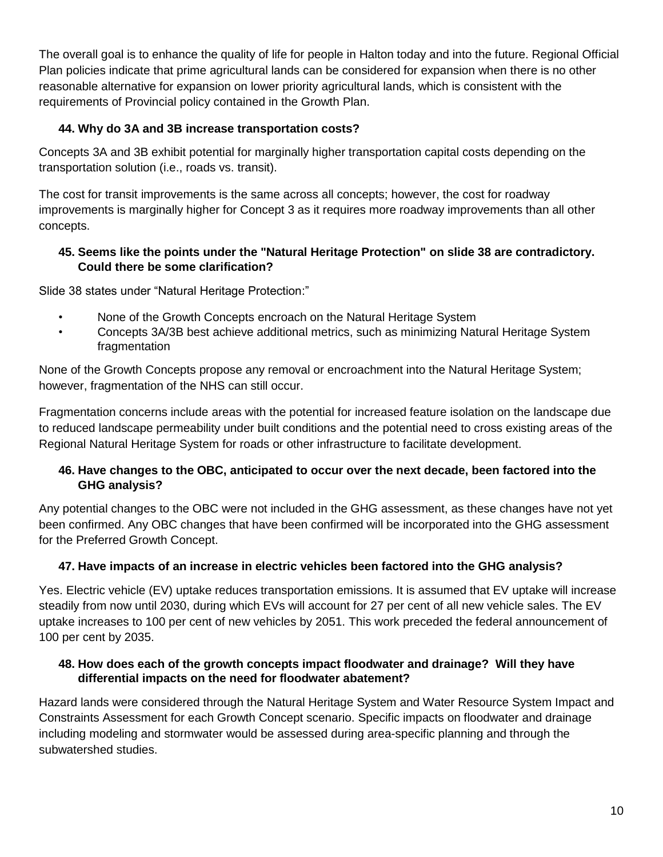The overall goal is to enhance the quality of life for people in Halton today and into the future. Regional Official Plan policies indicate that prime agricultural lands can be considered for expansion when there is no other reasonable alternative for expansion on lower priority agricultural lands, which is consistent with the requirements of Provincial policy contained in the Growth Plan.

# **44. Why do 3A and 3B increase transportation costs?**

Concepts 3A and 3B exhibit potential for marginally higher transportation capital costs depending on the transportation solution (i.e., roads vs. transit).

The cost for transit improvements is the same across all concepts; however, the cost for roadway improvements is marginally higher for Concept 3 as it requires more roadway improvements than all other concepts.

# **45. Seems like the points under the "Natural Heritage Protection" on slide 38 are contradictory. Could there be some clarification?**

Slide 38 states under "Natural Heritage Protection:"

- None of the Growth Concepts encroach on the Natural Heritage System
- Concepts 3A/3B best achieve additional metrics, such as minimizing Natural Heritage System fragmentation

None of the Growth Concepts propose any removal or encroachment into the Natural Heritage System; however, fragmentation of the NHS can still occur.

Fragmentation concerns include areas with the potential for increased feature isolation on the landscape due to reduced landscape permeability under built conditions and the potential need to cross existing areas of the Regional Natural Heritage System for roads or other infrastructure to facilitate development.

# **46. Have changes to the OBC, anticipated to occur over the next decade, been factored into the GHG analysis?**

Any potential changes to the OBC were not included in the GHG assessment, as these changes have not yet been confirmed. Any OBC changes that have been confirmed will be incorporated into the GHG assessment for the Preferred Growth Concept.

# **47. Have impacts of an increase in electric vehicles been factored into the GHG analysis?**

Yes. Electric vehicle (EV) uptake reduces transportation emissions. It is assumed that EV uptake will increase steadily from now until 2030, during which EVs will account for 27 per cent of all new vehicle sales. The EV uptake increases to 100 per cent of new vehicles by 2051. This work preceded the federal announcement of 100 per cent by 2035.

## **48. How does each of the growth concepts impact floodwater and drainage? Will they have differential impacts on the need for floodwater abatement?**

Hazard lands were considered through the Natural Heritage System and Water Resource System Impact and Constraints Assessment for each Growth Concept scenario. Specific impacts on floodwater and drainage including modeling and stormwater would be assessed during area-specific planning and through the subwatershed studies.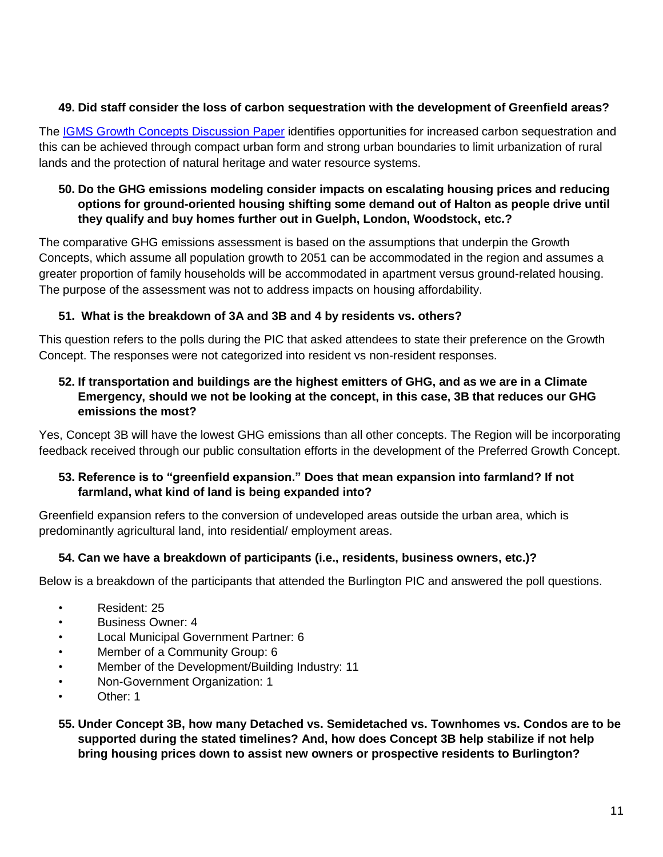# **49. Did staff consider the loss of carbon sequestration with the development of Greenfield areas?**

The [IGMS Growth Concepts Discussion Paper](https://www.halton.ca/getmedia/da6cb968-16c4-45b6-a07b-f95a1427fa9d/Halton_IGMS_Growth_Concepts_Discussion_Paper-reduced.aspx) identifies opportunities for increased carbon sequestration and this can be achieved through compact urban form and strong urban boundaries to limit urbanization of rural lands and the protection of natural heritage and water resource systems.

## **50. Do the GHG emissions modeling consider impacts on escalating housing prices and reducing options for ground-oriented housing shifting some demand out of Halton as people drive until they qualify and buy homes further out in Guelph, London, Woodstock, etc.?**

The comparative GHG emissions assessment is based on the assumptions that underpin the Growth Concepts, which assume all population growth to 2051 can be accommodated in the region and assumes a greater proportion of family households will be accommodated in apartment versus ground-related housing. The purpose of the assessment was not to address impacts on housing affordability.

# **51. What is the breakdown of 3A and 3B and 4 by residents vs. others?**

This question refers to the polls during the PIC that asked attendees to state their preference on the Growth Concept. The responses were not categorized into resident vs non-resident responses.

## **52. If transportation and buildings are the highest emitters of GHG, and as we are in a Climate Emergency, should we not be looking at the concept, in this case, 3B that reduces our GHG emissions the most?**

Yes, Concept 3B will have the lowest GHG emissions than all other concepts. The Region will be incorporating feedback received through our public consultation efforts in the development of the Preferred Growth Concept.

# **53. Reference is to "greenfield expansion." Does that mean expansion into farmland? If not farmland, what kind of land is being expanded into?**

Greenfield expansion refers to the conversion of undeveloped areas outside the urban area, which is predominantly agricultural land, into residential/ employment areas.

# **54. Can we have a breakdown of participants (i.e., residents, business owners, etc.)?**

Below is a breakdown of the participants that attended the Burlington PIC and answered the poll questions.

- Resident: 25
- Business Owner: 4
- Local Municipal Government Partner: 6
- Member of a Community Group: 6
- Member of the Development/Building Industry: 11
- Non-Government Organization: 1
- Other: 1
- **55. Under Concept 3B, how many Detached vs. Semidetached vs. Townhomes vs. Condos are to be supported during the stated timelines? And, how does Concept 3B help stabilize if not help bring housing prices down to assist new owners or prospective residents to Burlington?**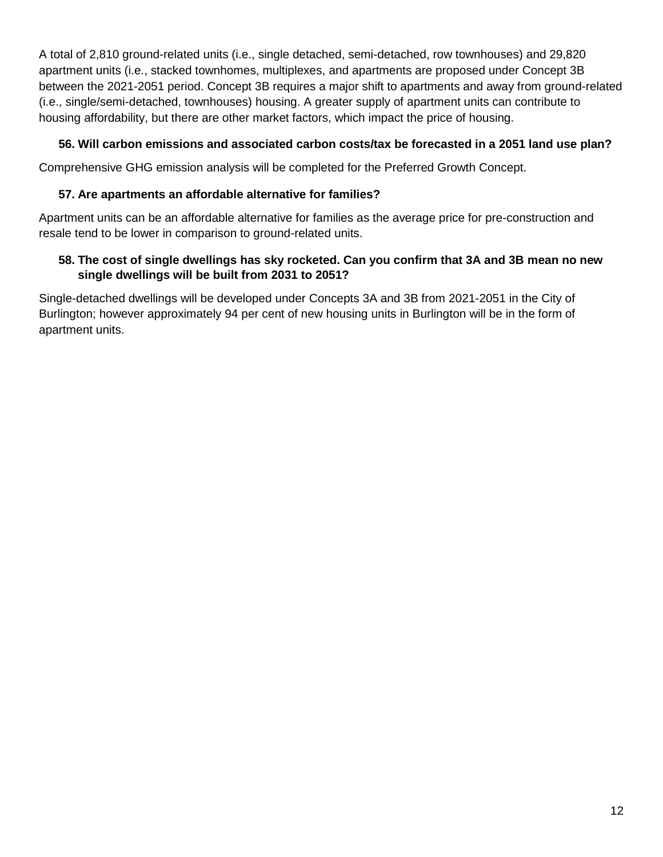A total of 2,810 ground-related units (i.e., single detached, semi-detached, row townhouses) and 29,820 apartment units (i.e., stacked townhomes, multiplexes, and apartments are proposed under Concept 3B between the 2021-2051 period. Concept 3B requires a major shift to apartments and away from ground-related (i.e., single/semi-detached, townhouses) housing. A greater supply of apartment units can contribute to housing affordability, but there are other market factors, which impact the price of housing.

## **56. Will carbon emissions and associated carbon costs/tax be forecasted in a 2051 land use plan?**

Comprehensive GHG emission analysis will be completed for the Preferred Growth Concept.

# **57. Are apartments an affordable alternative for families?**

Apartment units can be an affordable alternative for families as the average price for pre-construction and resale tend to be lower in comparison to ground-related units.

# **58. The cost of single dwellings has sky rocketed. Can you confirm that 3A and 3B mean no new single dwellings will be built from 2031 to 2051?**

Single-detached dwellings will be developed under Concepts 3A and 3B from 2021-2051 in the City of Burlington; however approximately 94 per cent of new housing units in Burlington will be in the form of apartment units.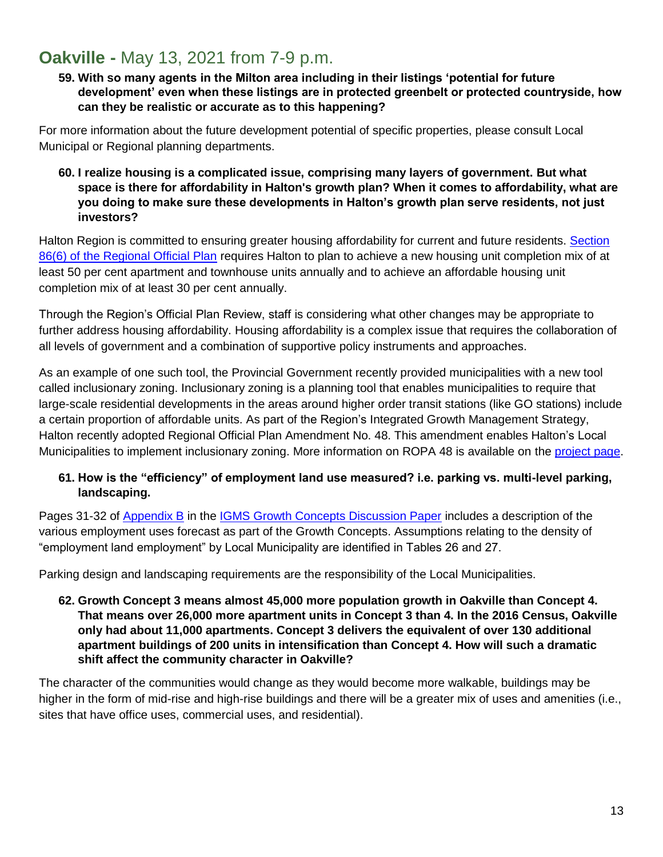# <span id="page-12-0"></span>**Oakville -** May 13, 2021 from 7-9 p.m.

**59. With so many agents in the Milton area including in their listings 'potential for future development' even when these listings are in protected greenbelt or protected countryside, how can they be realistic or accurate as to this happening?**

For more information about the future development potential of specific properties, please consult Local Municipal or Regional planning departments.

**60. I realize housing is a complicated issue, comprising many layers of government. But what space is there for affordability in Halton's growth plan? When it comes to affordability, what are you doing to make sure these developments in Halton's growth plan serve residents, not just investors?**

Halton Region is committed to ensuring greater housing affordability for current and future residents. Section [86\(6\) of the Regional Official Plan](file:///C:/Users/McCalluM/Downloads/ROP-%25E2%2580%2593-June-19,-2018-Office-Consolidation-%25E2%2580%2593-Text%20(33).pdf%23page=53) requires Halton to plan to achieve a new housing unit completion mix of at least 50 per cent apartment and townhouse units annually and to achieve an affordable housing unit completion mix of at least 30 per cent annually.

Through the Region's Official Plan Review, staff is considering what other changes may be appropriate to further address housing affordability. Housing affordability is a complex issue that requires the collaboration of all levels of government and a combination of supportive policy instruments and approaches.

As an example of one such tool, the Provincial Government recently provided municipalities with a new tool called inclusionary zoning. Inclusionary zoning is a planning tool that enables municipalities to require that large-scale residential developments in the areas around higher order transit stations (like GO stations) include a certain proportion of affordable units. As part of the Region's Integrated Growth Management Strategy, Halton recently adopted Regional Official Plan Amendment No. 48. This amendment enables Halton's Local Municipalities to implement inclusionary zoning. More information on ROPA 48 is available on the [project page.](https://www.halton.ca/The-Region/Regional-Planning/Regional-Official-Plan-(ROP)-(1)/Halton-s-Regional-Official-Plan-Review-(ROPR)/Regional-Official-Plan-Amendment-48)

## **61. How is the "efficiency" of employment land use measured? i.e. parking vs. multi-level parking, landscaping.**

Pages 31-32 of [Appendix B](https://www.halton.ca/getmedia/f0114ac4-42d6-4e41-8f6f-d97c89db821f/Development_of_Growth_Concepts_reduced.aspx) in the [IGMS Growth Concepts Discussion Paper](https://www.halton.ca/getmedia/da6cb968-16c4-45b6-a07b-f95a1427fa9d/Halton_IGMS_Growth_Concepts_Discussion_Paper-reduced.aspx) includes a description of the various employment uses forecast as part of the Growth Concepts. Assumptions relating to the density of "employment land employment" by Local Municipality are identified in Tables 26 and 27.

Parking design and landscaping requirements are the responsibility of the Local Municipalities.

**62. Growth Concept 3 means almost 45,000 more population growth in Oakville than Concept 4. That means over 26,000 more apartment units in Concept 3 than 4. In the 2016 Census, Oakville only had about 11,000 apartments. Concept 3 delivers the equivalent of over 130 additional apartment buildings of 200 units in intensification than Concept 4. How will such a dramatic shift affect the community character in Oakville?**

The character of the communities would change as they would become more walkable, buildings may be higher in the form of mid-rise and high-rise buildings and there will be a greater mix of uses and amenities (i.e., sites that have office uses, commercial uses, and residential).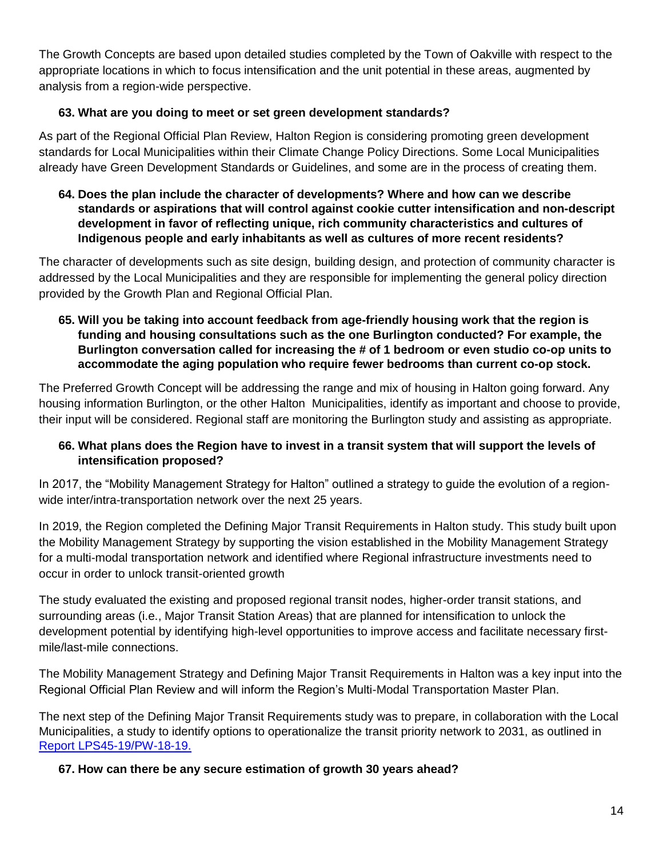The Growth Concepts are based upon detailed studies completed by the Town of Oakville with respect to the appropriate locations in which to focus intensification and the unit potential in these areas, augmented by analysis from a region-wide perspective.

# **63. What are you doing to meet or set green development standards?**

As part of the Regional Official Plan Review, Halton Region is considering promoting green development standards for Local Municipalities within their Climate Change Policy Directions. Some Local Municipalities already have Green Development Standards or Guidelines, and some are in the process of creating them.

**64. Does the plan include the character of developments? Where and how can we describe standards or aspirations that will control against cookie cutter intensification and non-descript development in favor of reflecting unique, rich community characteristics and cultures of Indigenous people and early inhabitants as well as cultures of more recent residents?**

The character of developments such as site design, building design, and protection of community character is addressed by the Local Municipalities and they are responsible for implementing the general policy direction provided by the Growth Plan and Regional Official Plan.

**65. Will you be taking into account feedback from age-friendly housing work that the region is funding and housing consultations such as the one Burlington conducted? For example, the Burlington conversation called for increasing the # of 1 bedroom or even studio co-op units to accommodate the aging population who require fewer bedrooms than current co-op stock.**

The Preferred Growth Concept will be addressing the range and mix of housing in Halton going forward. Any housing information Burlington, or the other Halton Municipalities, identify as important and choose to provide, their input will be considered. Regional staff are monitoring the Burlington study and assisting as appropriate.

## **66. What plans does the Region have to invest in a transit system that will support the levels of intensification proposed?**

In 2017, the "Mobility Management Strategy for Halton" outlined a strategy to guide the evolution of a regionwide inter/intra-transportation network over the next 25 years.

In 2019, the Region completed the Defining Major Transit Requirements in Halton study. This study built upon the Mobility Management Strategy by supporting the vision established in the Mobility Management Strategy for a multi-modal transportation network and identified where Regional infrastructure investments need to occur in order to unlock transit-oriented growth

The study evaluated the existing and proposed regional transit nodes, higher-order transit stations, and surrounding areas (i.e., Major Transit Station Areas) that are planned for intensification to unlock the development potential by identifying high-level opportunities to improve access and facilitate necessary firstmile/last-mile connections.

The Mobility Management Strategy and Defining Major Transit Requirements in Halton was a key input into the Regional Official Plan Review and will inform the Region's Multi-Modal Transportation Master Plan.

The next step of the Defining Major Transit Requirements study was to prepare, in collaboration with the Local Municipalities, a study to identify options to operationalize the transit priority network to 2031, as outlined in [Report LPS45-19/PW-18-19.](https://edmweb.halton.ca/OnBaseAgendaOnline/Documents/ViewDocument/LPS45-19-PW-18-19_-_Defining_Major_Transit_Require_-_Attachment_%231_to_LPS45-19_PW-18-19_-_DMTR_Execu?meetingId=3952&documentType=Minutes&itemId=110839&publishId=58126&isSection=false) 

## **67. How can there be any secure estimation of growth 30 years ahead?**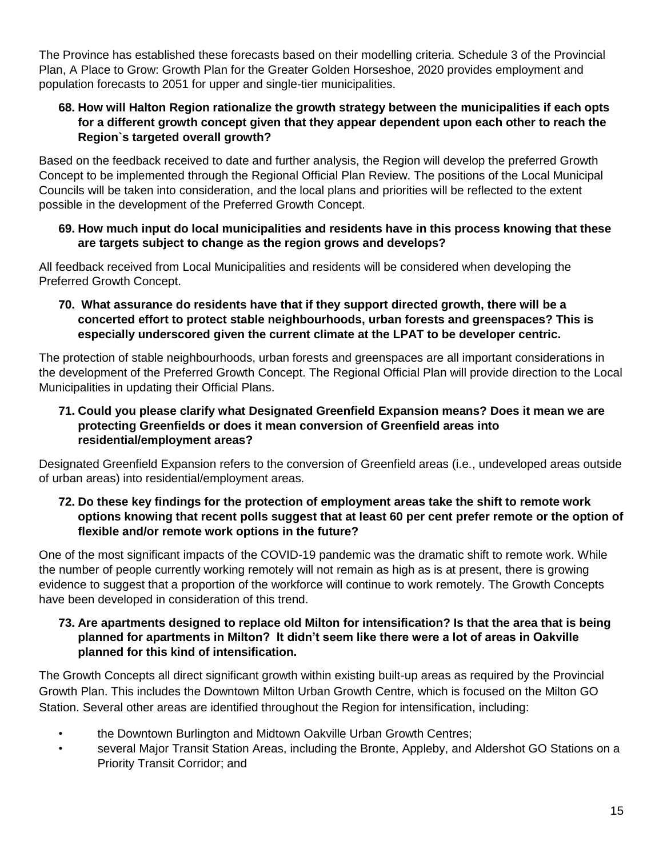The Province has established these forecasts based on their modelling criteria. Schedule 3 of the Provincial Plan, A Place to Grow: Growth Plan for the Greater Golden Horseshoe, 2020 provides employment and population forecasts to 2051 for upper and single-tier municipalities.

#### **68. How will Halton Region rationalize the growth strategy between the municipalities if each opts for a different growth concept given that they appear dependent upon each other to reach the Region`s targeted overall growth?**

Based on the feedback received to date and further analysis, the Region will develop the preferred Growth Concept to be implemented through the Regional Official Plan Review. The positions of the Local Municipal Councils will be taken into consideration, and the local plans and priorities will be reflected to the extent possible in the development of the Preferred Growth Concept.

#### **69. How much input do local municipalities and residents have in this process knowing that these are targets subject to change as the region grows and develops?**

All feedback received from Local Municipalities and residents will be considered when developing the Preferred Growth Concept.

**70. What assurance do residents have that if they support directed growth, there will be a concerted effort to protect stable neighbourhoods, urban forests and greenspaces? This is especially underscored given the current climate at the LPAT to be developer centric.**

The protection of stable neighbourhoods, urban forests and greenspaces are all important considerations in the development of the Preferred Growth Concept. The Regional Official Plan will provide direction to the Local Municipalities in updating their Official Plans.

## **71. Could you please clarify what Designated Greenfield Expansion means? Does it mean we are protecting Greenfields or does it mean conversion of Greenfield areas into residential/employment areas?**

Designated Greenfield Expansion refers to the conversion of Greenfield areas (i.e., undeveloped areas outside of urban areas) into residential/employment areas.

#### **72. Do these key findings for the protection of employment areas take the shift to remote work options knowing that recent polls suggest that at least 60 per cent prefer remote or the option of flexible and/or remote work options in the future?**

One of the most significant impacts of the COVID-19 pandemic was the dramatic shift to remote work. While the number of people currently working remotely will not remain as high as is at present, there is growing evidence to suggest that a proportion of the workforce will continue to work remotely. The Growth Concepts have been developed in consideration of this trend.

#### **73. Are apartments designed to replace old Milton for intensification? Is that the area that is being planned for apartments in Milton? It didn't seem like there were a lot of areas in Oakville planned for this kind of intensification.**

The Growth Concepts all direct significant growth within existing built-up areas as required by the Provincial Growth Plan. This includes the Downtown Milton Urban Growth Centre, which is focused on the Milton GO Station. Several other areas are identified throughout the Region for intensification, including:

- the Downtown Burlington and Midtown Oakville Urban Growth Centres;
- several Major Transit Station Areas, including the Bronte, Appleby, and Aldershot GO Stations on a Priority Transit Corridor; and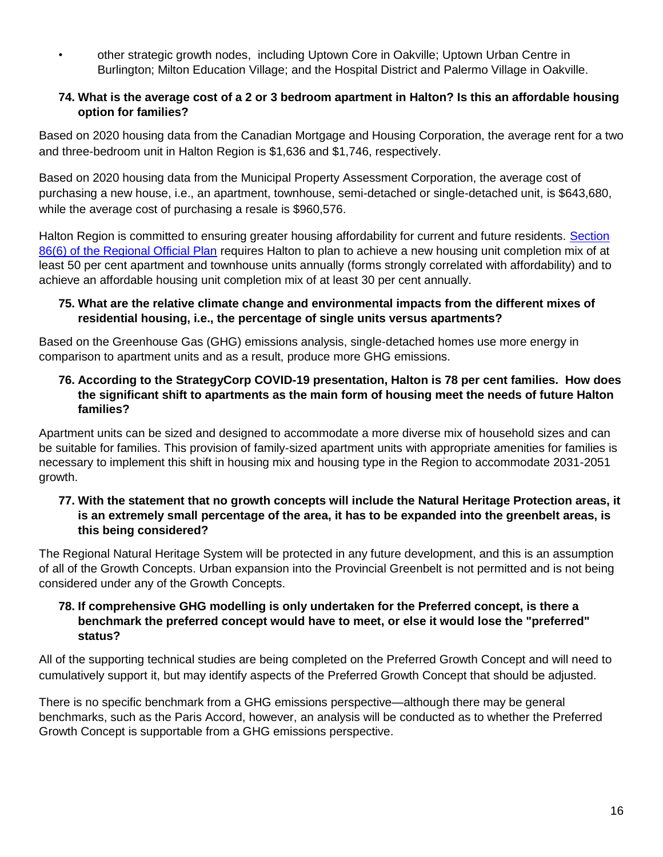• other strategic growth nodes, including Uptown Core in Oakville; Uptown Urban Centre in Burlington; Milton Education Village; and the Hospital District and Palermo Village in Oakville.

#### **74. What is the average cost of a 2 or 3 bedroom apartment in Halton? Is this an affordable housing option for families?**

Based on 2020 housing data from the Canadian Mortgage and Housing Corporation, the average rent for a two and three-bedroom unit in Halton Region is \$1,636 and \$1,746, respectively.

Based on 2020 housing data from the Municipal Property Assessment Corporation, the average cost of purchasing a new house, i.e., an apartment, townhouse, semi-detached or single-detached unit, is \$643,680, while the average cost of purchasing a resale is \$960,576.

Halton Region is committed to ensuring greater housing affordability for current and future residents. [Section](file:///C:/Users/McCalluM/Downloads/ROP-%25E2%2580%2593-June-19,-2018-Office-Consolidation-%25E2%2580%2593-Text%20(33).pdf%23page=53)  [86\(6\) of the Regional Official Plan](file:///C:/Users/McCalluM/Downloads/ROP-%25E2%2580%2593-June-19,-2018-Office-Consolidation-%25E2%2580%2593-Text%20(33).pdf%23page=53) requires Halton to plan to achieve a new housing unit completion mix of at least 50 per cent apartment and townhouse units annually (forms strongly correlated with affordability) and to achieve an affordable housing unit completion mix of at least 30 per cent annually.

#### **75. What are the relative climate change and environmental impacts from the different mixes of residential housing, i.e., the percentage of single units versus apartments?**

Based on the Greenhouse Gas (GHG) emissions analysis, single-detached homes use more energy in comparison to apartment units and as a result, produce more GHG emissions.

## **76. According to the StrategyCorp COVID-19 presentation, Halton is 78 per cent families. How does the significant shift to apartments as the main form of housing meet the needs of future Halton families?**

Apartment units can be sized and designed to accommodate a more diverse mix of household sizes and can be suitable for families. This provision of family-sized apartment units with appropriate amenities for families is necessary to implement this shift in housing mix and housing type in the Region to accommodate 2031-2051 growth.

#### **77. With the statement that no growth concepts will include the Natural Heritage Protection areas, it is an extremely small percentage of the area, it has to be expanded into the greenbelt areas, is this being considered?**

The Regional Natural Heritage System will be protected in any future development, and this is an assumption of all of the Growth Concepts. Urban expansion into the Provincial Greenbelt is not permitted and is not being considered under any of the Growth Concepts.

#### **78. If comprehensive GHG modelling is only undertaken for the Preferred concept, is there a benchmark the preferred concept would have to meet, or else it would lose the "preferred" status?**

All of the supporting technical studies are being completed on the Preferred Growth Concept and will need to cumulatively support it, but may identify aspects of the Preferred Growth Concept that should be adjusted.

There is no specific benchmark from a GHG emissions perspective—although there may be general benchmarks, such as the Paris Accord, however, an analysis will be conducted as to whether the Preferred Growth Concept is supportable from a GHG emissions perspective.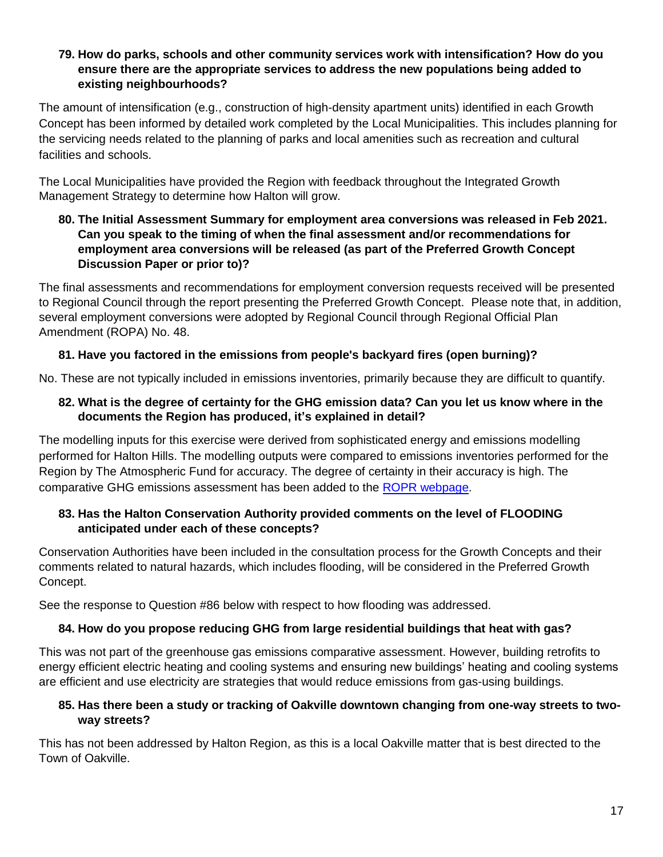#### **79. How do parks, schools and other community services work with intensification? How do you ensure there are the appropriate services to address the new populations being added to existing neighbourhoods?**

The amount of intensification (e.g., construction of high-density apartment units) identified in each Growth Concept has been informed by detailed work completed by the Local Municipalities. This includes planning for the servicing needs related to the planning of parks and local amenities such as recreation and cultural facilities and schools.

The Local Municipalities have provided the Region with feedback throughout the Integrated Growth Management Strategy to determine how Halton will grow.

#### **80. The Initial Assessment Summary for employment area conversions was released in Feb 2021. Can you speak to the timing of when the final assessment and/or recommendations for employment area conversions will be released (as part of the Preferred Growth Concept Discussion Paper or prior to)?**

The final assessments and recommendations for employment conversion requests received will be presented to Regional Council through the report presenting the Preferred Growth Concept. Please note that, in addition, several employment conversions were adopted by Regional Council through Regional Official Plan Amendment (ROPA) No. 48.

# **81. Have you factored in the emissions from people's backyard fires (open burning)?**

No. These are not typically included in emissions inventories, primarily because they are difficult to quantify.

# **82. What is the degree of certainty for the GHG emission data? Can you let us know where in the documents the Region has produced, it's explained in detail?**

The modelling inputs for this exercise were derived from sophisticated energy and emissions modelling performed for Halton Hills. The modelling outputs were compared to emissions inventories performed for the Region by The Atmospheric Fund for accuracy. The degree of certainty in their accuracy is high. The comparative GHG emissions assessment has been added to the [ROPR webpage.](https://www.halton.ca/getmedia/3c276ca5-635d-44ea-b65c-45add99c7915/LPS-Halton-Region-Comparative-GHG-Emissions-Assessment-Growth-Concepts.aspx)

# **83. Has the Halton Conservation Authority provided comments on the level of FLOODING anticipated under each of these concepts?**

Conservation Authorities have been included in the consultation process for the Growth Concepts and their comments related to natural hazards, which includes flooding, will be considered in the Preferred Growth Concept.

See the response to Question #86 below with respect to how flooding was addressed.

# **84. How do you propose reducing GHG from large residential buildings that heat with gas?**

This was not part of the greenhouse gas emissions comparative assessment. However, building retrofits to energy efficient electric heating and cooling systems and ensuring new buildings' heating and cooling systems are efficient and use electricity are strategies that would reduce emissions from gas-using buildings.

# **85. Has there been a study or tracking of Oakville downtown changing from one-way streets to twoway streets?**

This has not been addressed by Halton Region, as this is a local Oakville matter that is best directed to the Town of Oakville.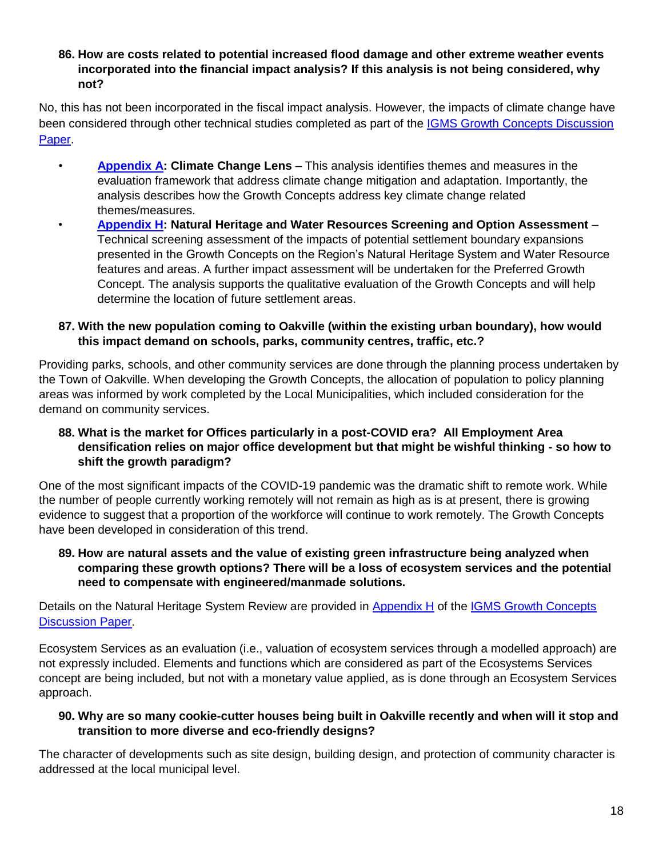**86. How are costs related to potential increased flood damage and other extreme weather events incorporated into the financial impact analysis? If this analysis is not being considered, why not?**

No, this has not been incorporated in the fiscal impact analysis. However, the impacts of climate change have been considered through other technical studies completed as part of the IGMS Growth Concepts Discussion [Paper.](https://www.halton.ca/getmedia/da6cb968-16c4-45b6-a07b-f95a1427fa9d/Halton_IGMS_Growth_Concepts_Discussion_Paper-reduced.aspx)

- **[Appendix A:](https://www.halton.ca/getmedia/f0114ac4-42d6-4e41-8f6f-d97c89db821f/Development_of_Growth_Concepts_reduced.aspx) Climate Change Lens** This analysis identifies themes and measures in the evaluation framework that address climate change mitigation and adaptation. Importantly, the analysis describes how the Growth Concepts address key climate change related themes/measures.
- **[Appendix H:](https://www.halton.ca/getmedia/2d5a124c-8a97-441b-9d26-0015a515c14d/Settlement_Area_Boundary_Expansion_Studies_reduced.aspx) Natural Heritage and Water Resources Screening and Option Assessment** Technical screening assessment of the impacts of potential settlement boundary expansions presented in the Growth Concepts on the Region's Natural Heritage System and Water Resource features and areas. A further impact assessment will be undertaken for the Preferred Growth Concept. The analysis supports the qualitative evaluation of the Growth Concepts and will help determine the location of future settlement areas.

# **87. With the new population coming to Oakville (within the existing urban boundary), how would this impact demand on schools, parks, community centres, traffic, etc.?**

Providing parks, schools, and other community services are done through the planning process undertaken by the Town of Oakville. When developing the Growth Concepts, the allocation of population to policy planning areas was informed by work completed by the Local Municipalities, which included consideration for the demand on community services.

## **88. What is the market for Offices particularly in a post-COVID era? All Employment Area densification relies on major office development but that might be wishful thinking - so how to shift the growth paradigm?**

One of the most significant impacts of the COVID-19 pandemic was the dramatic shift to remote work. While the number of people currently working remotely will not remain as high as is at present, there is growing evidence to suggest that a proportion of the workforce will continue to work remotely. The Growth Concepts have been developed in consideration of this trend.

**89. How are natural assets and the value of existing green infrastructure being analyzed when comparing these growth options? There will be a loss of ecosystem services and the potential need to compensate with engineered/manmade solutions.**

Details on the Natural Heritage System Review are provided in [Appendix H](https://www.halton.ca/getmedia/2d5a124c-8a97-441b-9d26-0015a515c14d/Settlement_Area_Boundary_Expansion_Studies_reduced.aspx) of the IGMS Growth Concepts [Discussion Paper.](https://www.halton.ca/getmedia/da6cb968-16c4-45b6-a07b-f95a1427fa9d/Halton_IGMS_Growth_Concepts_Discussion_Paper-reduced.aspx)

Ecosystem Services as an evaluation (i.e., valuation of ecosystem services through a modelled approach) are not expressly included. Elements and functions which are considered as part of the Ecosystems Services concept are being included, but not with a monetary value applied, as is done through an Ecosystem Services approach.

## **90. Why are so many cookie-cutter houses being built in Oakville recently and when will it stop and transition to more diverse and eco-friendly designs?**

The character of developments such as site design, building design, and protection of community character is addressed at the local municipal level.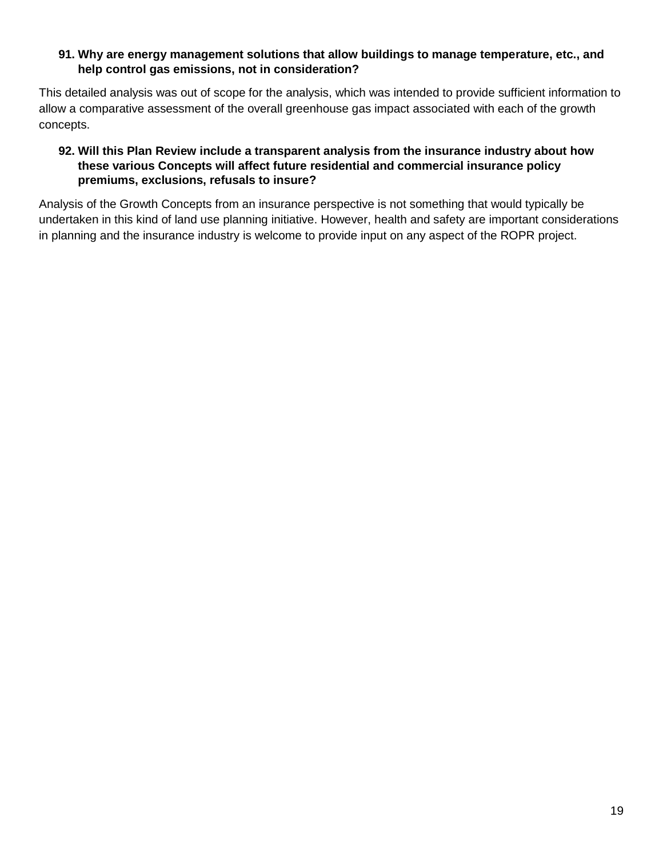#### **91. Why are energy management solutions that allow buildings to manage temperature, etc., and help control gas emissions, not in consideration?**

This detailed analysis was out of scope for the analysis, which was intended to provide sufficient information to allow a comparative assessment of the overall greenhouse gas impact associated with each of the growth concepts.

#### **92. Will this Plan Review include a transparent analysis from the insurance industry about how these various Concepts will affect future residential and commercial insurance policy premiums, exclusions, refusals to insure?**

Analysis of the Growth Concepts from an insurance perspective is not something that would typically be undertaken in this kind of land use planning initiative. However, health and safety are important considerations in planning and the insurance industry is welcome to provide input on any aspect of the ROPR project.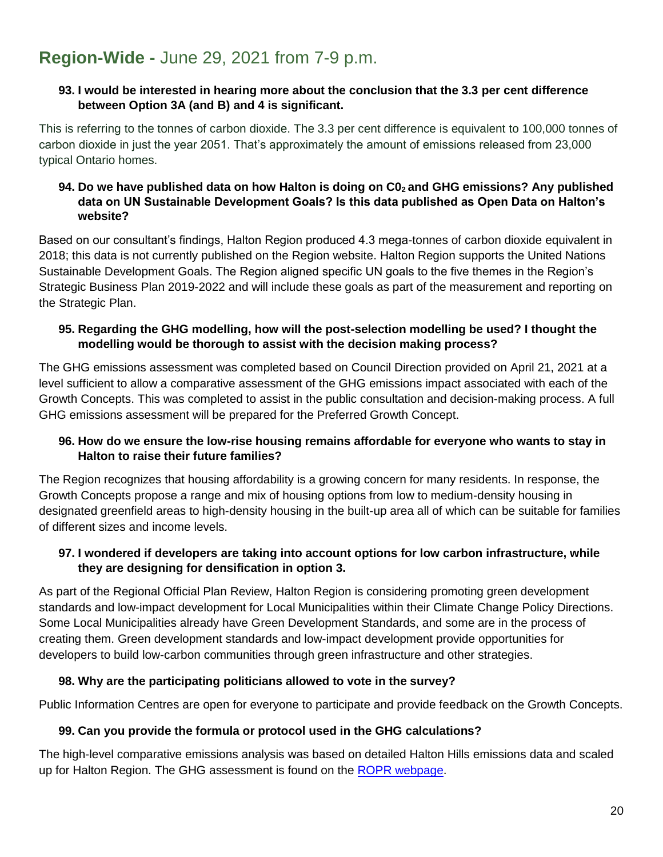# <span id="page-19-0"></span>**Region-Wide -** June 29, 2021 from 7-9 p.m.

#### **93. I would be interested in hearing more about the conclusion that the 3.3 per cent difference between Option 3A (and B) and 4 is significant.**

This is referring to the tonnes of carbon dioxide. The 3.3 per cent difference is equivalent to 100,000 tonnes of carbon dioxide in just the year 2051. That's approximately the amount of emissions released from 23,000 typical Ontario homes.

## **94. Do we have published data on how Halton is doing on C02 and GHG emissions? Any published data on UN Sustainable Development Goals? Is this data published as Open Data on Halton's website?**

Based on our consultant's findings, Halton Region produced 4.3 mega-tonnes of carbon dioxide equivalent in 2018; this data is not currently published on the Region website. Halton Region supports the United Nations Sustainable Development Goals. The Region aligned specific UN goals to the five themes in the Region's Strategic Business Plan 2019-2022 and will include these goals as part of the measurement and reporting on the Strategic Plan.

# **95. Regarding the GHG modelling, how will the post-selection modelling be used? I thought the modelling would be thorough to assist with the decision making process?**

The GHG emissions assessment was completed based on Council Direction provided on April 21, 2021 at a level sufficient to allow a comparative assessment of the GHG emissions impact associated with each of the Growth Concepts. This was completed to assist in the public consultation and decision-making process. A full GHG emissions assessment will be prepared for the Preferred Growth Concept.

## **96. How do we ensure the low-rise housing remains affordable for everyone who wants to stay in Halton to raise their future families?**

The Region recognizes that housing affordability is a growing concern for many residents. In response, the Growth Concepts propose a range and mix of housing options from low to medium-density housing in designated greenfield areas to high-density housing in the built-up area all of which can be suitable for families of different sizes and income levels.

#### **97. I wondered if developers are taking into account options for low carbon infrastructure, while they are designing for densification in option 3.**

As part of the Regional Official Plan Review, Halton Region is considering promoting green development standards and low-impact development for Local Municipalities within their Climate Change Policy Directions. Some Local Municipalities already have Green Development Standards, and some are in the process of creating them. Green development standards and low-impact development provide opportunities for developers to build low-carbon communities through green infrastructure and other strategies.

# **98. Why are the participating politicians allowed to vote in the survey?**

Public Information Centres are open for everyone to participate and provide feedback on the Growth Concepts.

## **99. Can you provide the formula or protocol used in the GHG calculations?**

The high-level comparative emissions analysis was based on detailed Halton Hills emissions data and scaled up for Halton Region. The GHG assessment is found on the [ROPR webpage.](https://www.halton.ca/getmedia/3c276ca5-635d-44ea-b65c-45add99c7915/LPS-Halton-Region-Comparative-GHG-Emissions-Assessment-Growth-Concepts.aspx)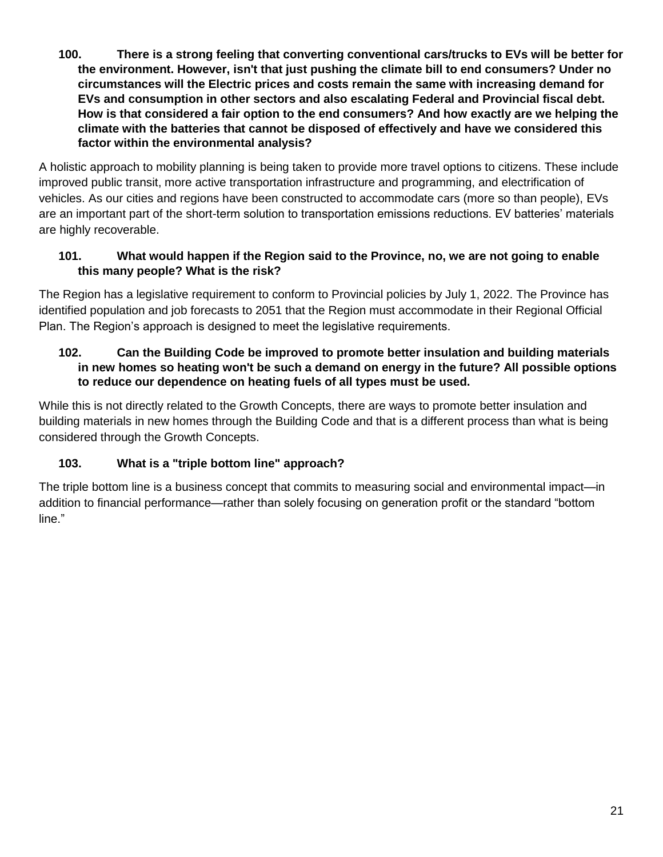**100. There is a strong feeling that converting conventional cars/trucks to EVs will be better for the environment. However, isn't that just pushing the climate bill to end consumers? Under no circumstances will the Electric prices and costs remain the same with increasing demand for EVs and consumption in other sectors and also escalating Federal and Provincial fiscal debt. How is that considered a fair option to the end consumers? And how exactly are we helping the climate with the batteries that cannot be disposed of effectively and have we considered this factor within the environmental analysis?**

A holistic approach to mobility planning is being taken to provide more travel options to citizens. These include improved public transit, more active transportation infrastructure and programming, and electrification of vehicles. As our cities and regions have been constructed to accommodate cars (more so than people), EVs are an important part of the short-term solution to transportation emissions reductions. EV batteries' materials are highly recoverable.

# **101. What would happen if the Region said to the Province, no, we are not going to enable this many people? What is the risk?**

The Region has a legislative requirement to conform to Provincial policies by July 1, 2022. The Province has identified population and job forecasts to 2051 that the Region must accommodate in their Regional Official Plan. The Region's approach is designed to meet the legislative requirements.

## **102. Can the Building Code be improved to promote better insulation and building materials in new homes so heating won't be such a demand on energy in the future? All possible options to reduce our dependence on heating fuels of all types must be used.**

While this is not directly related to the Growth Concepts, there are ways to promote better insulation and building materials in new homes through the Building Code and that is a different process than what is being considered through the Growth Concepts.

# **103. What is a "triple bottom line" approach?**

The triple bottom line is a business concept that commits to measuring social and environmental impact—in addition to financial performance—rather than solely focusing on generation profit or the standard "bottom line."